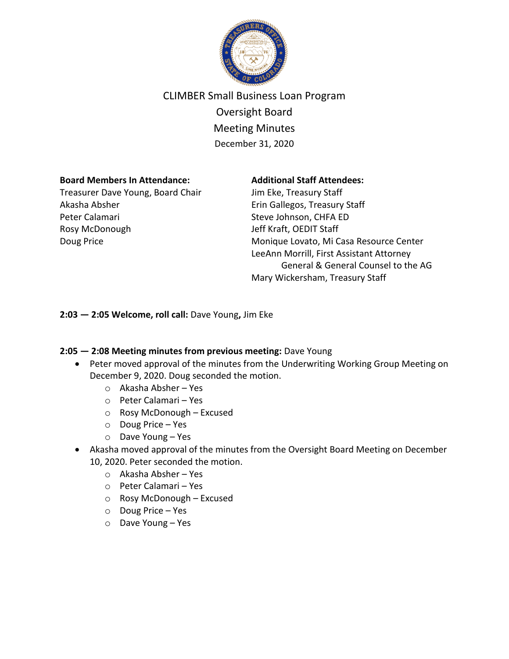

# CLIMBER Small Business Loan Program

Oversight Board Meeting Minutes December 31, 2020

## **Board Members In Attendance:**

Treasurer Dave Young, Board Chair Akasha Absher Peter Calamari Rosy McDonough Doug Price

## **Additional Staff Attendees:**

Jim Eke, Treasury Staff Erin Gallegos, Treasury Staff Steve Johnson, CHFA ED Jeff Kraft, OEDIT Staff Monique Lovato, Mi Casa Resource Center LeeAnn Morrill, First Assistant Attorney General & General Counsel to the AG Mary Wickersham, Treasury Staff

**2:03 — 2:05 Welcome, roll call:** Dave Young**,** Jim Eke

## **2:05 — 2:08 Meeting minutes from previous meeting:** Dave Young

- Peter moved approval of the minutes from the Underwriting Working Group Meeting on December 9, 2020. Doug seconded the motion.
	- o Akasha Absher Yes
	- o Peter Calamari Yes
	- o Rosy McDonough Excused
	- o Doug Price Yes
	- o Dave Young Yes
- Akasha moved approval of the minutes from the Oversight Board Meeting on December 10, 2020. Peter seconded the motion.
	- o Akasha Absher Yes
	- o Peter Calamari Yes
	- o Rosy McDonough Excused
	- o Doug Price Yes
	- o Dave Young Yes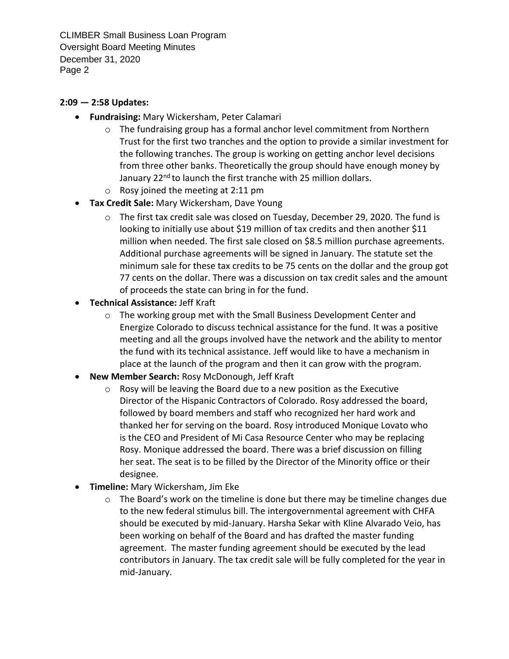CLIMBER Small Business Loan Program Oversight Board Meeting Minutes December 31, 2020 Page 2

## **2:09 — 2:58 Updates:**

- **Fundraising:** Mary Wickersham, Peter Calamari
	- $\circ$  The fundraising group has a formal anchor level commitment from Northern Trust for the first two tranches and the option to provide a similar investment for the following tranches. The group is working on getting anchor level decisions from three other banks. Theoretically the group should have enough money by January 22<sup>nd</sup> to launch the first tranche with 25 million dollars.
	- o Rosy joined the meeting at 2:11 pm
- **Tax Credit Sale:** Mary Wickersham, Dave Young
	- $\circ$  The first tax credit sale was closed on Tuesday, December 29, 2020. The fund is looking to initially use about \$19 million of tax credits and then another \$11 million when needed. The first sale closed on \$8.5 million purchase agreements. Additional purchase agreements will be signed in January. The statute set the minimum sale for these tax credits to be 75 cents on the dollar and the group got 77 cents on the dollar. There was a discussion on tax credit sales and the amount of proceeds the state can bring in for the fund.
- **Technical Assistance:** Jeff Kraft
	- o The working group met with the Small Business Development Center and Energize Colorado to discuss technical assistance for the fund. It was a positive meeting and all the groups involved have the network and the ability to mentor the fund with its technical assistance. Jeff would like to have a mechanism in place at the launch of the program and then it can grow with the program.
- **New Member Search:** Rosy McDonough, Jeff Kraft
	- o Rosy will be leaving the Board due to a new position as the Executive Director of the Hispanic Contractors of Colorado. Rosy addressed the board, followed by board members and staff who recognized her hard work and thanked her for serving on the board. Rosy introduced Monique Lovato who is the CEO and President of Mi Casa Resource Center who may be replacing Rosy. Monique addressed the board. There was a brief discussion on filling her seat. The seat is to be filled by the Director of the Minority office or their designee.
- **Timeline:** Mary Wickersham, Jim Eke
	- $\circ$  The Board's work on the timeline is done but there may be timeline changes due to the new federal stimulus bill. The intergovernmental agreement with CHFA should be executed by mid-January. Harsha Sekar with Kline Alvarado Veio, has been working on behalf of the Board and has drafted the master funding agreement. The master funding agreement should be executed by the lead contributors in January. The tax credit sale will be fully completed for the year in mid-January.